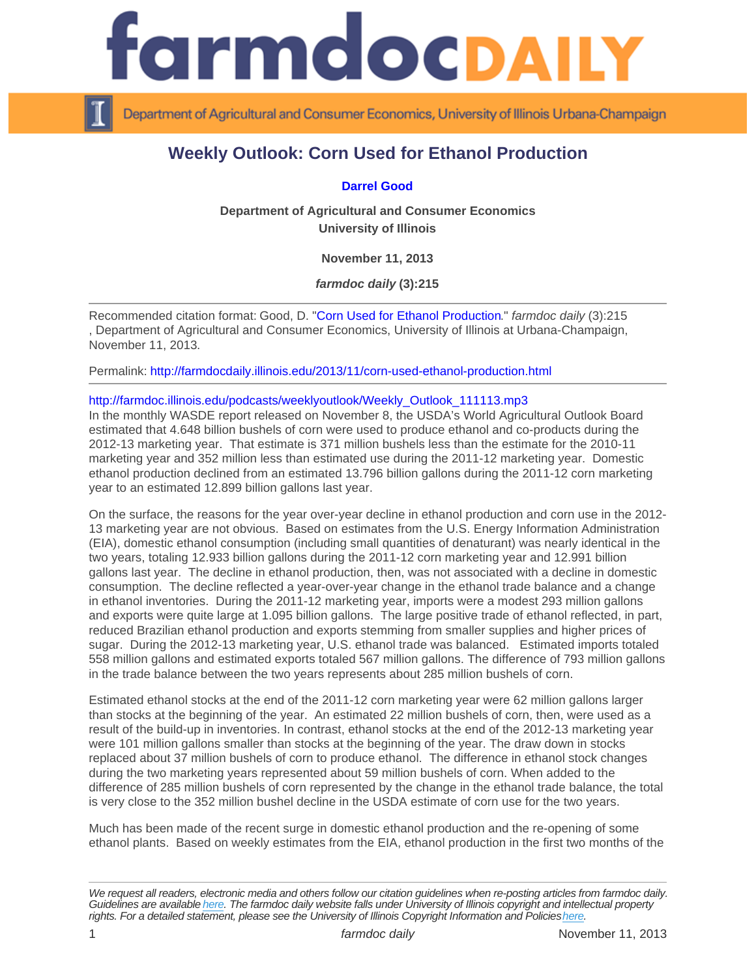## Weekly Outlook: Corn Used for Ethanol Production

## [Darrel Good](http://www.farmdoc.illinois.edu/good/)

Department of Agricultural and Consumer Economics University of Illinois

November 11, 2013

farmdoc daily (3):215

Recommended citation format: Good, D. "[Corn Used for Ethanol Production](http://farmdocdaily.illinois.edu/2013/11/corn-used-ethanol-production.html)." farmdoc daily (3):215 , Department of Agricultural and Consumer Economics, University of Illinois at Urbana-Champaign, November 11, 2013.

Permalink:<http://farmdocdaily.illinois.edu/2013/11/corn-used-ethanol-production.html>

## [http://farmdoc.illinois.edu/podcasts/weeklyoutlook/Weekly\\_Outlook\\_111113.mp3](http://farmdoc.illinois.edu/podcasts/weeklyoutlook/Weekly_Outlook_111113.mp3)

In the monthly WASDE report released on November 8, the USDA's World Agricultural Outlook Board estimated that 4.648 billion bushels of corn were used to produce ethanol and co-products during the 2012-13 marketing year. That estimate is 371 million bushels less than the estimate for the 2010-11 marketing year and 352 million less than estimated use during the 2011-12 marketing year. Domestic ethanol production declined from an estimated 13.796 billion gallons during the 2011-12 corn marketing year to an estimated 12.899 billion gallons last year.

On the surface, the reasons for the year over-year decline in ethanol production and corn use in the 2012- 13 marketing year are not obvious. Based on estimates from the U.S. Energy Information Administration (EIA), domestic ethanol consumption (including small quantities of denaturant) was nearly identical in the two years, totaling 12.933 billion gallons during the 2011-12 corn marketing year and 12.991 billion gallons last year. The decline in ethanol production, then, was not associated with a decline in domestic consumption. The decline reflected a year-over-year change in the ethanol trade balance and a change in ethanol inventories. During the 2011-12 marketing year, imports were a modest 293 million gallons and exports were quite large at 1.095 billion gallons. The large positive trade of ethanol reflected, in part, reduced Brazilian ethanol production and exports stemming from smaller supplies and higher prices of sugar. During the 2012-13 marketing year, U.S. ethanol trade was balanced. Estimated imports totaled 558 million gallons and estimated exports totaled 567 million gallons. The difference of 793 million gallons in the trade balance between the two years represents about 285 million bushels of corn.

Estimated ethanol stocks at the end of the 2011-12 corn marketing year were 62 million gallons larger than stocks at the beginning of the year. An estimated 22 million bushels of corn, then, were used as a result of the build-up in inventories. In contrast, ethanol stocks at the end of the 2012-13 marketing year were 101 million gallons smaller than stocks at the beginning of the year. The draw down in stocks replaced about 37 million bushels of corn to produce ethanol. The difference in ethanol stock changes during the two marketing years represented about 59 million bushels of corn. When added to the difference of 285 million bushels of corn represented by the change in the ethanol trade balance, the total is very close to the 352 million bushel decline in the USDA estimate of corn use for the two years.

Much has been made of the recent surge in domestic ethanol production and the re-opening of some ethanol plants. Based on weekly estimates from the EIA, ethanol production in the first two months of the

We request all readers, electronic media and others follow our citation guidelines when re-posting articles from farmdoc daily. Guidelines are available [here](http://farmdocdaily.illinois.edu/citationguide.html). The farmdoc daily website falls under University of Illinois copyright and intellectual property rights. For a detailed statement, please see the University of Illinois Copyright Information and Policies [here.](https://techservices.illinois.edu/office-cio)